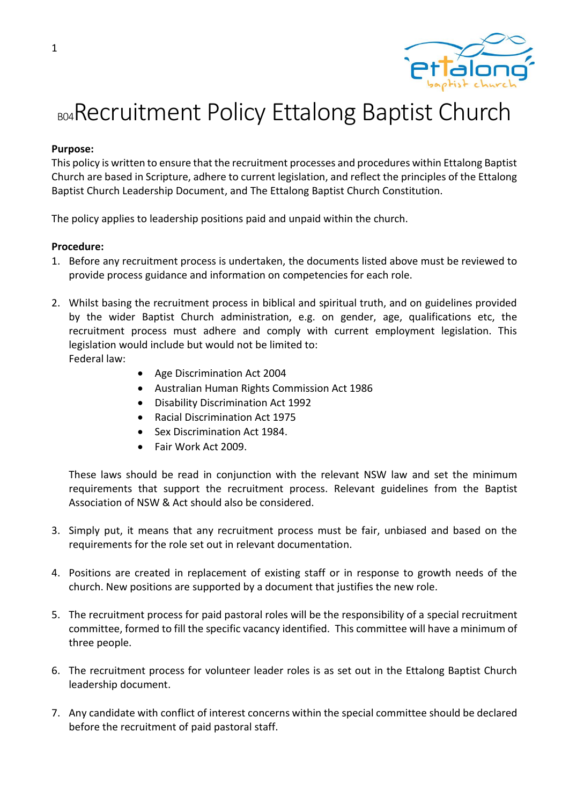

## BO4 Recruitment Policy Ettalong Baptist Church

## **Purpose:**

This policy is written to ensure that the recruitment processes and procedures within Ettalong Baptist Church are based in Scripture, adhere to current legislation, and reflect the principles of the Ettalong Baptist Church Leadership Document, and The Ettalong Baptist Church Constitution.

The policy applies to leadership positions paid and unpaid within the church.

## **Procedure:**

- 1. Before any recruitment process is undertaken, the documents listed above must be reviewed to provide process guidance and information on competencies for each role.
- 2. Whilst basing the recruitment process in biblical and spiritual truth, and on guidelines provided by the wider Baptist Church administration, e.g. on gender, age, qualifications etc, the recruitment process must adhere and comply with current employment legislation. This legislation would include but would not be limited to: Federal law:
	- Age Discrimination Act 2004
	- Australian Human Rights Commission Act 1986
	- Disability Discrimination Act 1992
	- Racial Discrimination Act 1975
	- Sex Discrimination Act 1984.
	- Fair Work Act 2009.

These laws should be read in conjunction with the relevant NSW law and set the minimum requirements that support the recruitment process. Relevant guidelines from the Baptist Association of NSW & Act should also be considered.

- 3. Simply put, it means that any recruitment process must be fair, unbiased and based on the requirements for the role set out in relevant documentation.
- 4. Positions are created in replacement of existing staff or in response to growth needs of the church. New positions are supported by a document that justifies the new role.
- 5. The recruitment process for paid pastoral roles will be the responsibility of a special recruitment committee, formed to fill the specific vacancy identified. This committee will have a minimum of three people.
- 6. The recruitment process for volunteer leader roles is as set out in the Ettalong Baptist Church leadership document.
- 7. Any candidate with conflict of interest concerns within the special committee should be declared before the recruitment of paid pastoral staff.